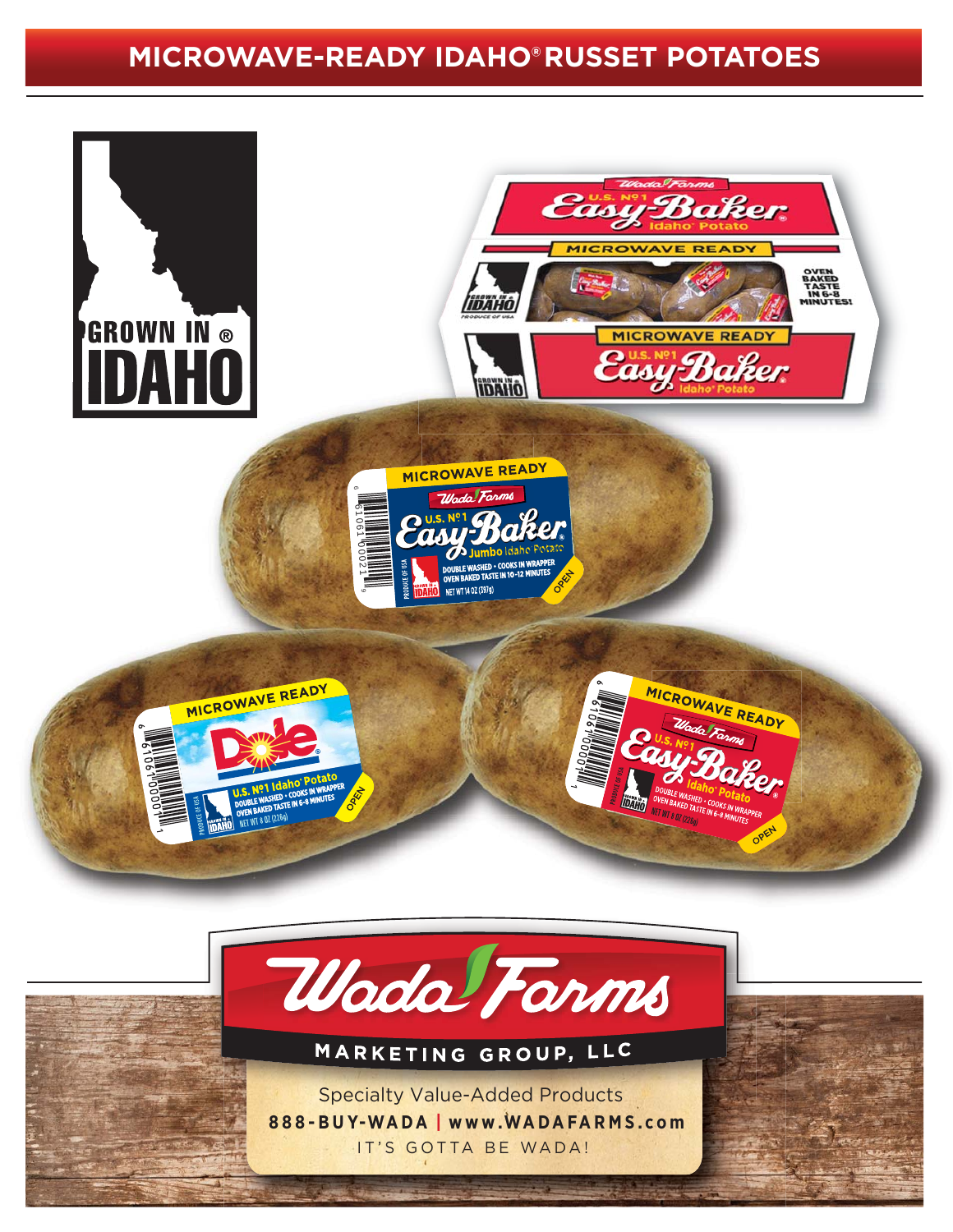## **MICROWAVE-READY IDAHO®RUSSET POTATOES**